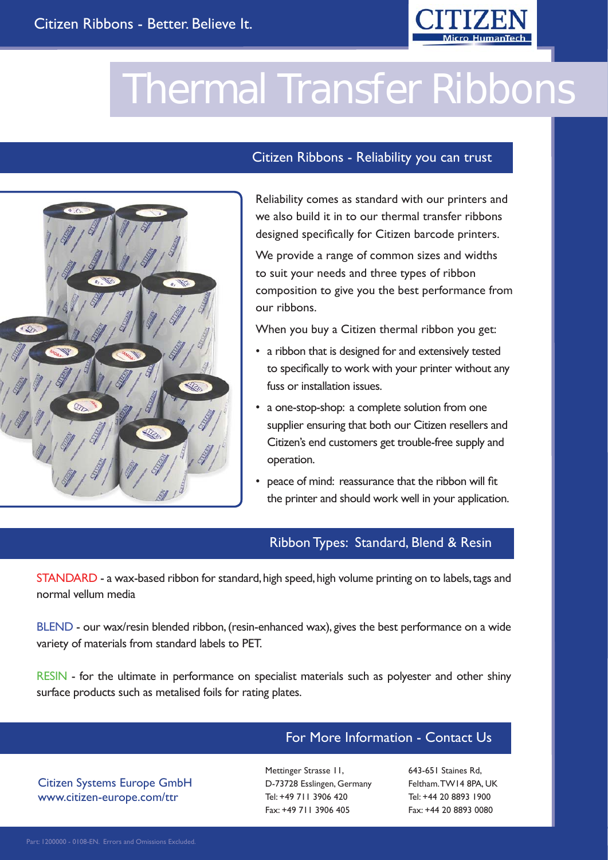

## **Thermal Transfer Ribbons**



#### Citizen Ribbons - Reliability you can trust

Reliability comes as standard with our printers and we also build it in to our thermal transfer ribbons designed specifically for Citizen barcode printers.

We provide a range of common sizes and widths to suit your needs and three types of ribbon composition to give you the best performance from our ribbons.

When you buy a Citizen thermal ribbon you get:

- a ribbon that is designed for and extensively tested to specifically to work with your printer without any fuss or installation issues.
- a one-stop-shop: a complete solution from one supplier ensuring that both our Citizen resellers and Citizen's end customers get trouble-free supply and operation.
- peace of mind: reassurance that the ribbon will fit the printer and should work well in your application.

#### Ribbon Types: Standard, Blend & Resin

STANDARD - a wax-based ribbon for standard, high speed, high volume printing on to labels, tags and normal vellum media

BLEND - our wax/resin blended ribbon, (resin-enhanced wax), gives the best performance on a wide variety of materials from standard labels to PET.

RESIN - for the ultimate in performance on specialist materials such as polyester and other shiny surface products such as metalised foils for rating plates.

### For More Information - Contact Us

Citizen Systems Europe GmbH www.citizen-europe.com/ttr

Mettinger Strasse 11, D-73728 Esslingen, Germany Tel: +49 711 3906 420 Fax: +49 711 3906 405

643-651 Staines Rd, Feltham. TW14 8PA, UK Tel: +44 20 8893 1900 Fax: +44 20 8893 0080